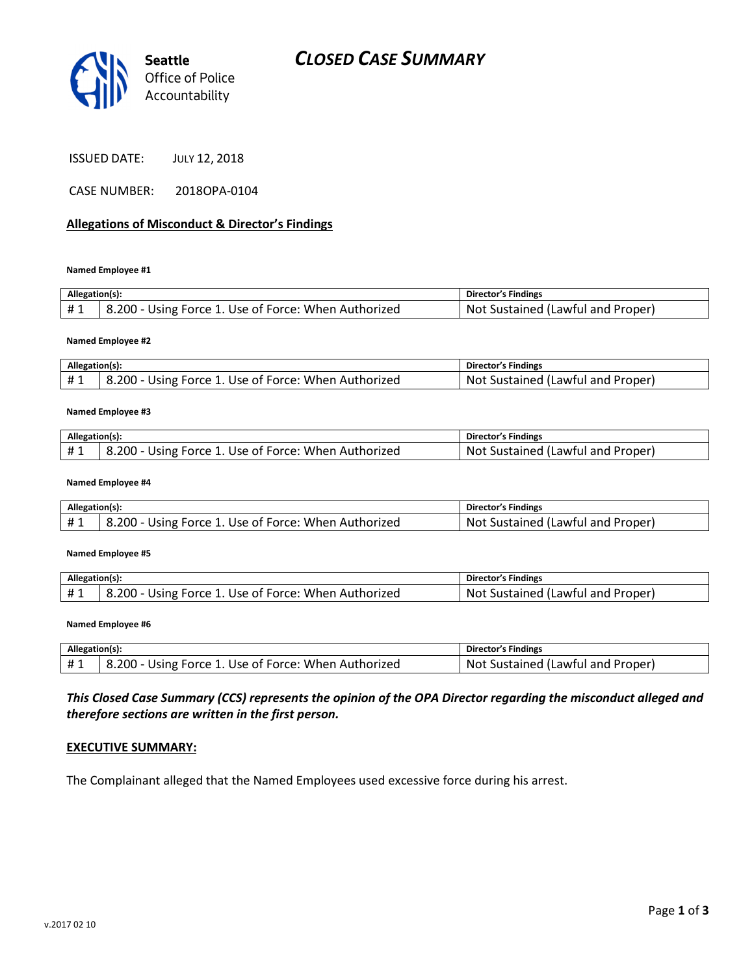

ISSUED DATE: JULY 12, 2018

CASE NUMBER: 2018OPA-0104

#### Allegations of Misconduct & Director's Findings

Named Employee #1

| Allegation(s): |                                                      | Director's Findings               |
|----------------|------------------------------------------------------|-----------------------------------|
| #1             | 8.200 - Using Force 1. Use of Force: When Authorized | Not Sustained (Lawful and Proper) |

Named Employee #2

| Allegation(s): |                                                      | <b>Director's Findings</b>               |
|----------------|------------------------------------------------------|------------------------------------------|
|                | 3.200 - Using Force 1. Use of Force: When Authorized | <b>Not Sustained (Lawful and Proper)</b> |

#### Named Employee #3

| Allegation(s): |                                                      | <b>Director's Findings</b>        |
|----------------|------------------------------------------------------|-----------------------------------|
| #1             | 8.200 - Using Force 1. Use of Force: When Authorized | Not Sustained (Lawful and Proper) |

#### Named Employee #4

| Allegation(s): |                                                      | Director's Findings               |
|----------------|------------------------------------------------------|-----------------------------------|
|                | 8.200 - Using Force 1. Use of Force: When Authorized | Not Sustained (Lawful and Proper) |

#### Named Employee #5

| Allegation(s): |                                                      | <b>Director's Findings</b>        |
|----------------|------------------------------------------------------|-----------------------------------|
| #1             | 8.200 - Using Force 1. Use of Force: When Authorized | Not Sustained (Lawful and Proper) |

#### Named Employee #6

| Allegation(s): |                                                | <b>Director's Findings</b>             |
|----------------|------------------------------------------------|----------------------------------------|
|                | - Using Force 1. Use of Force: When Authorized | . Sustained (Lawful and Proper)<br>Not |

#### This Closed Case Summary (CCS) represents the opinion of the OPA Director regarding the misconduct alleged and therefore sections are written in the first person.

#### EXECUTIVE SUMMARY:

The Complainant alleged that the Named Employees used excessive force during his arrest.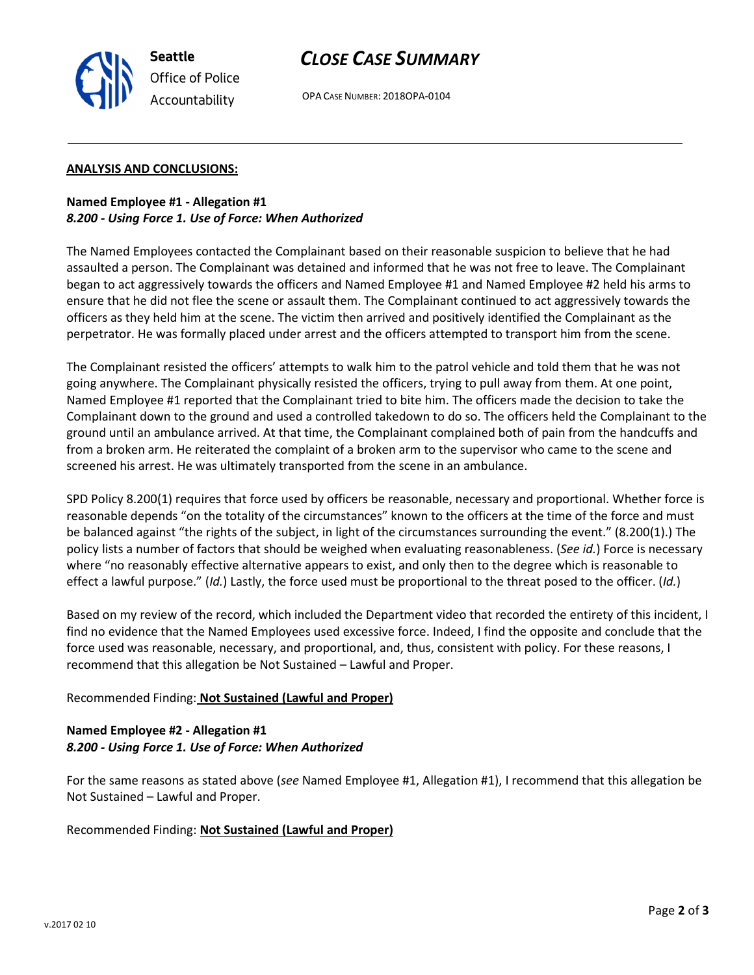

# CLOSE CASE SUMMARY

OPA CASE NUMBER: 2018OPA-0104

#### ANALYSIS AND CONCLUSIONS:

#### Named Employee #1 - Allegation #1 8.200 - Using Force 1. Use of Force: When Authorized

Accountability

The Named Employees contacted the Complainant based on their reasonable suspicion to believe that he had assaulted a person. The Complainant was detained and informed that he was not free to leave. The Complainant began to act aggressively towards the officers and Named Employee #1 and Named Employee #2 held his arms to ensure that he did not flee the scene or assault them. The Complainant continued to act aggressively towards the officers as they held him at the scene. The victim then arrived and positively identified the Complainant as the perpetrator. He was formally placed under arrest and the officers attempted to transport him from the scene.

The Complainant resisted the officers' attempts to walk him to the patrol vehicle and told them that he was not going anywhere. The Complainant physically resisted the officers, trying to pull away from them. At one point, Named Employee #1 reported that the Complainant tried to bite him. The officers made the decision to take the Complainant down to the ground and used a controlled takedown to do so. The officers held the Complainant to the ground until an ambulance arrived. At that time, the Complainant complained both of pain from the handcuffs and from a broken arm. He reiterated the complaint of a broken arm to the supervisor who came to the scene and screened his arrest. He was ultimately transported from the scene in an ambulance.

SPD Policy 8.200(1) requires that force used by officers be reasonable, necessary and proportional. Whether force is reasonable depends "on the totality of the circumstances" known to the officers at the time of the force and must be balanced against "the rights of the subject, in light of the circumstances surrounding the event." (8.200(1).) The policy lists a number of factors that should be weighed when evaluating reasonableness. (See id.) Force is necessary where "no reasonably effective alternative appears to exist, and only then to the degree which is reasonable to effect a lawful purpose." (Id.) Lastly, the force used must be proportional to the threat posed to the officer. (Id.)

Based on my review of the record, which included the Department video that recorded the entirety of this incident, I find no evidence that the Named Employees used excessive force. Indeed, I find the opposite and conclude that the force used was reasonable, necessary, and proportional, and, thus, consistent with policy. For these reasons, I recommend that this allegation be Not Sustained – Lawful and Proper.

# Recommended Finding: Not Sustained (Lawful and Proper)

# Named Employee #2 - Allegation #1 8.200 - Using Force 1. Use of Force: When Authorized

For the same reasons as stated above (see Named Employee #1, Allegation #1), I recommend that this allegation be Not Sustained – Lawful and Proper.

Recommended Finding: Not Sustained (Lawful and Proper)